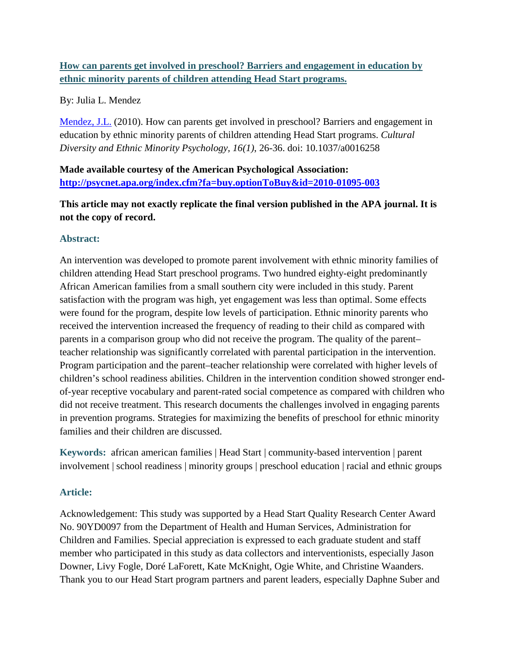# **How can parents get involved in preschool? Barriers and engagement in education by ethnic minority parents of children attending Head Start programs.**

# By: Julia L. Mendez

[Mendez, J.L.](http://libres.uncg.edu/ir/uncg/clist.aspx?id=2862) (2010). How can parents get involved in preschool? Barriers and engagement in education by ethnic minority parents of children attending Head Start programs. *Cultural Diversity and Ethnic Minority Psychology, 16(1)*, 26-36. doi: 10.1037/a0016258

**Made available courtesy of the American Psychological Association: <http://psycnet.apa.org/index.cfm?fa=buy.optionToBuy&id=2010-01095-003>**

**This article may not exactly replicate the final version published in the APA journal. It is not the copy of record.**

## **Abstract:**

An intervention was developed to promote parent involvement with ethnic minority families of children attending Head Start preschool programs. Two hundred eighty-eight predominantly African American families from a small southern city were included in this study. Parent satisfaction with the program was high, yet engagement was less than optimal. Some effects were found for the program, despite low levels of participation. Ethnic minority parents who received the intervention increased the frequency of reading to their child as compared with parents in a comparison group who did not receive the program. The quality of the parent– teacher relationship was significantly correlated with parental participation in the intervention. Program participation and the parent–teacher relationship were correlated with higher levels of children's school readiness abilities. Children in the intervention condition showed stronger endof-year receptive vocabulary and parent-rated social competence as compared with children who did not receive treatment. This research documents the challenges involved in engaging parents in prevention programs. Strategies for maximizing the benefits of preschool for ethnic minority families and their children are discussed.

**Keywords:** african american families | Head Start | community-based intervention | parent involvement | school readiness | minority groups | preschool education | racial and ethnic groups

## **Article:**

Acknowledgement: This study was supported by a Head Start Quality Research Center Award No. 90YD0097 from the Department of Health and Human Services, Administration for Children and Families. Special appreciation is expressed to each graduate student and staff member who participated in this study as data collectors and interventionists, especially Jason Downer, Livy Fogle, Doré LaForett, Kate McKnight, Ogie White, and Christine Waanders. Thank you to our Head Start program partners and parent leaders, especially Daphne Suber and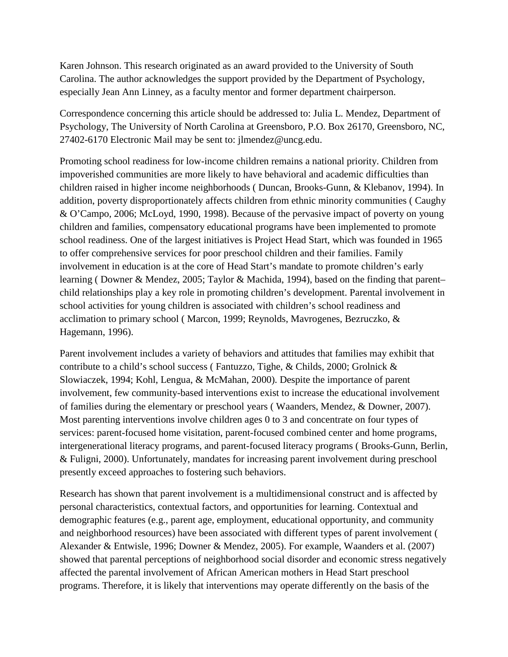Karen Johnson. This research originated as an award provided to the University of South Carolina. The author acknowledges the support provided by the Department of Psychology, especially Jean Ann Linney, as a faculty mentor and former department chairperson.

Correspondence concerning this article should be addressed to: Julia L. Mendez, Department of Psychology, The University of North Carolina at Greensboro, P.O. Box 26170, Greensboro, NC, 27402-6170 Electronic Mail may be sent to: jlmendez@uncg.edu.

Promoting school readiness for low-income children remains a national priority. Children from impoverished communities are more likely to have behavioral and academic difficulties than children raised in higher income neighborhoods ( Duncan, Brooks-Gunn, & Klebanov, 1994). In addition, poverty disproportionately affects children from ethnic minority communities ( Caughy & O'Campo, 2006; McLoyd, 1990, 1998). Because of the pervasive impact of poverty on young children and families, compensatory educational programs have been implemented to promote school readiness. One of the largest initiatives is Project Head Start, which was founded in 1965 to offer comprehensive services for poor preschool children and their families. Family involvement in education is at the core of Head Start's mandate to promote children's early learning ( Downer & Mendez, 2005; Taylor & Machida, 1994), based on the finding that parent– child relationships play a key role in promoting children's development. Parental involvement in school activities for young children is associated with children's school readiness and acclimation to primary school ( Marcon, 1999; Reynolds, Mavrogenes, Bezruczko, & Hagemann, 1996).

Parent involvement includes a variety of behaviors and attitudes that families may exhibit that contribute to a child's school success ( Fantuzzo, Tighe, & Childs, 2000; Grolnick & Slowiaczek, 1994; Kohl, Lengua, & McMahan, 2000). Despite the importance of parent involvement, few community-based interventions exist to increase the educational involvement of families during the elementary or preschool years ( Waanders, Mendez, & Downer, 2007). Most parenting interventions involve children ages 0 to 3 and concentrate on four types of services: parent-focused home visitation, parent-focused combined center and home programs, intergenerational literacy programs, and parent-focused literacy programs ( Brooks-Gunn, Berlin, & Fuligni, 2000). Unfortunately, mandates for increasing parent involvement during preschool presently exceed approaches to fostering such behaviors.

Research has shown that parent involvement is a multidimensional construct and is affected by personal characteristics, contextual factors, and opportunities for learning. Contextual and demographic features (e.g., parent age, employment, educational opportunity, and community and neighborhood resources) have been associated with different types of parent involvement ( Alexander & Entwisle, 1996; Downer & Mendez, 2005). For example, Waanders et al. (2007) showed that parental perceptions of neighborhood social disorder and economic stress negatively affected the parental involvement of African American mothers in Head Start preschool programs. Therefore, it is likely that interventions may operate differently on the basis of the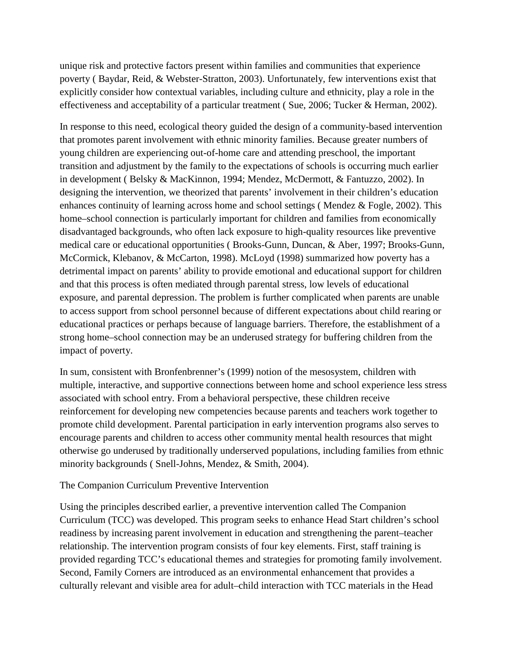unique risk and protective factors present within families and communities that experience poverty ( Baydar, Reid, & Webster-Stratton, 2003). Unfortunately, few interventions exist that explicitly consider how contextual variables, including culture and ethnicity, play a role in the effectiveness and acceptability of a particular treatment ( Sue, 2006; Tucker & Herman, 2002).

In response to this need, ecological theory guided the design of a community-based intervention that promotes parent involvement with ethnic minority families. Because greater numbers of young children are experiencing out-of-home care and attending preschool, the important transition and adjustment by the family to the expectations of schools is occurring much earlier in development ( Belsky & MacKinnon, 1994; Mendez, McDermott, & Fantuzzo, 2002). In designing the intervention, we theorized that parents' involvement in their children's education enhances continuity of learning across home and school settings ( Mendez & Fogle, 2002). This home–school connection is particularly important for children and families from economically disadvantaged backgrounds, who often lack exposure to high-quality resources like preventive medical care or educational opportunities ( Brooks-Gunn, Duncan, & Aber, 1997; Brooks-Gunn, McCormick, Klebanov, & McCarton, 1998). McLoyd (1998) summarized how poverty has a detrimental impact on parents' ability to provide emotional and educational support for children and that this process is often mediated through parental stress, low levels of educational exposure, and parental depression. The problem is further complicated when parents are unable to access support from school personnel because of different expectations about child rearing or educational practices or perhaps because of language barriers. Therefore, the establishment of a strong home–school connection may be an underused strategy for buffering children from the impact of poverty.

In sum, consistent with Bronfenbrenner's (1999) notion of the mesosystem, children with multiple, interactive, and supportive connections between home and school experience less stress associated with school entry. From a behavioral perspective, these children receive reinforcement for developing new competencies because parents and teachers work together to promote child development. Parental participation in early intervention programs also serves to encourage parents and children to access other community mental health resources that might otherwise go underused by traditionally underserved populations, including families from ethnic minority backgrounds ( Snell-Johns, Mendez, & Smith, 2004).

### The Companion Curriculum Preventive Intervention

Using the principles described earlier, a preventive intervention called The Companion Curriculum (TCC) was developed. This program seeks to enhance Head Start children's school readiness by increasing parent involvement in education and strengthening the parent–teacher relationship. The intervention program consists of four key elements. First, staff training is provided regarding TCC's educational themes and strategies for promoting family involvement. Second, Family Corners are introduced as an environmental enhancement that provides a culturally relevant and visible area for adult–child interaction with TCC materials in the Head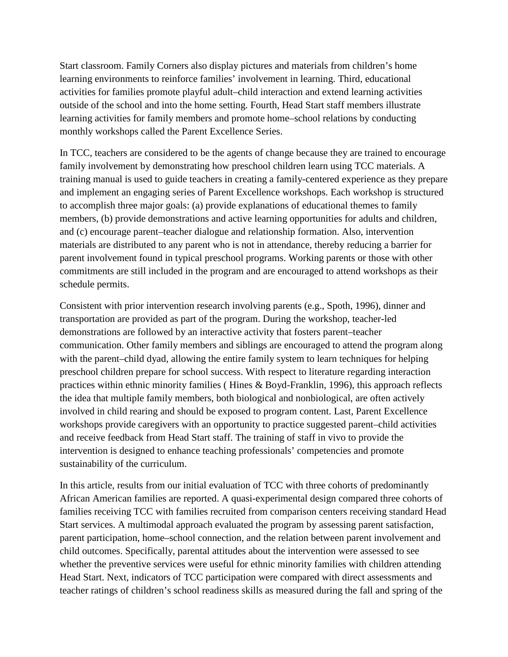Start classroom. Family Corners also display pictures and materials from children's home learning environments to reinforce families' involvement in learning. Third, educational activities for families promote playful adult–child interaction and extend learning activities outside of the school and into the home setting. Fourth, Head Start staff members illustrate learning activities for family members and promote home–school relations by conducting monthly workshops called the Parent Excellence Series.

In TCC, teachers are considered to be the agents of change because they are trained to encourage family involvement by demonstrating how preschool children learn using TCC materials. A training manual is used to guide teachers in creating a family-centered experience as they prepare and implement an engaging series of Parent Excellence workshops. Each workshop is structured to accomplish three major goals: (a) provide explanations of educational themes to family members, (b) provide demonstrations and active learning opportunities for adults and children, and (c) encourage parent–teacher dialogue and relationship formation. Also, intervention materials are distributed to any parent who is not in attendance, thereby reducing a barrier for parent involvement found in typical preschool programs. Working parents or those with other commitments are still included in the program and are encouraged to attend workshops as their schedule permits.

Consistent with prior intervention research involving parents (e.g., Spoth, 1996), dinner and transportation are provided as part of the program. During the workshop, teacher-led demonstrations are followed by an interactive activity that fosters parent–teacher communication. Other family members and siblings are encouraged to attend the program along with the parent–child dyad, allowing the entire family system to learn techniques for helping preschool children prepare for school success. With respect to literature regarding interaction practices within ethnic minority families ( Hines & Boyd-Franklin, 1996), this approach reflects the idea that multiple family members, both biological and nonbiological, are often actively involved in child rearing and should be exposed to program content. Last, Parent Excellence workshops provide caregivers with an opportunity to practice suggested parent–child activities and receive feedback from Head Start staff. The training of staff in vivo to provide the intervention is designed to enhance teaching professionals' competencies and promote sustainability of the curriculum.

In this article, results from our initial evaluation of TCC with three cohorts of predominantly African American families are reported. A quasi-experimental design compared three cohorts of families receiving TCC with families recruited from comparison centers receiving standard Head Start services. A multimodal approach evaluated the program by assessing parent satisfaction, parent participation, home–school connection, and the relation between parent involvement and child outcomes. Specifically, parental attitudes about the intervention were assessed to see whether the preventive services were useful for ethnic minority families with children attending Head Start. Next, indicators of TCC participation were compared with direct assessments and teacher ratings of children's school readiness skills as measured during the fall and spring of the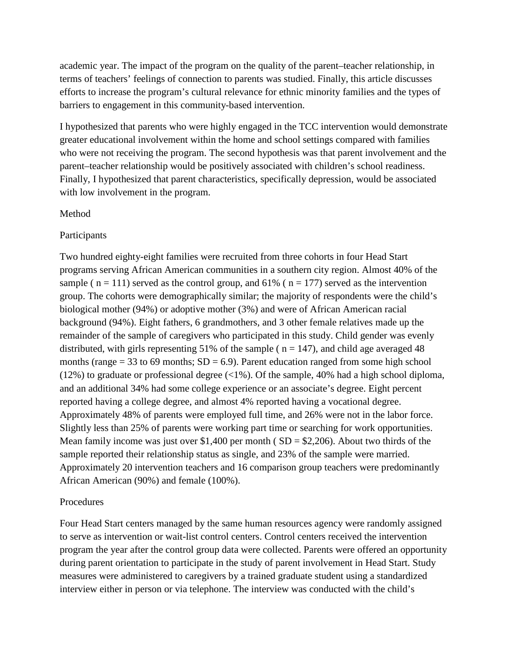academic year. The impact of the program on the quality of the parent–teacher relationship, in terms of teachers' feelings of connection to parents was studied. Finally, this article discusses efforts to increase the program's cultural relevance for ethnic minority families and the types of barriers to engagement in this community-based intervention.

I hypothesized that parents who were highly engaged in the TCC intervention would demonstrate greater educational involvement within the home and school settings compared with families who were not receiving the program. The second hypothesis was that parent involvement and the parent–teacher relationship would be positively associated with children's school readiness. Finally, I hypothesized that parent characteristics, specifically depression, would be associated with low involvement in the program.

### Method

#### Participants

Two hundred eighty-eight families were recruited from three cohorts in four Head Start programs serving African American communities in a southern city region. Almost 40% of the sample ( $n = 111$ ) served as the control group, and 61% ( $n = 177$ ) served as the intervention group. The cohorts were demographically similar; the majority of respondents were the child's biological mother (94%) or adoptive mother (3%) and were of African American racial background (94%). Eight fathers, 6 grandmothers, and 3 other female relatives made up the remainder of the sample of caregivers who participated in this study. Child gender was evenly distributed, with girls representing 51% of the sample ( $n = 147$ ), and child age averaged 48 months (range  $= 33$  to 69 months;  $SD = 6.9$ ). Parent education ranged from some high school  $(12%)$  to graduate or professional degree  $(\langle 1\% \rangle)$ . Of the sample, 40% had a high school diploma, and an additional 34% had some college experience or an associate's degree. Eight percent reported having a college degree, and almost 4% reported having a vocational degree. Approximately 48% of parents were employed full time, and 26% were not in the labor force. Slightly less than 25% of parents were working part time or searching for work opportunities. Mean family income was just over \$1,400 per month ( $SD = $2,206$ ). About two thirds of the sample reported their relationship status as single, and 23% of the sample were married. Approximately 20 intervention teachers and 16 comparison group teachers were predominantly African American (90%) and female (100%).

### **Procedures**

Four Head Start centers managed by the same human resources agency were randomly assigned to serve as intervention or wait-list control centers. Control centers received the intervention program the year after the control group data were collected. Parents were offered an opportunity during parent orientation to participate in the study of parent involvement in Head Start. Study measures were administered to caregivers by a trained graduate student using a standardized interview either in person or via telephone. The interview was conducted with the child's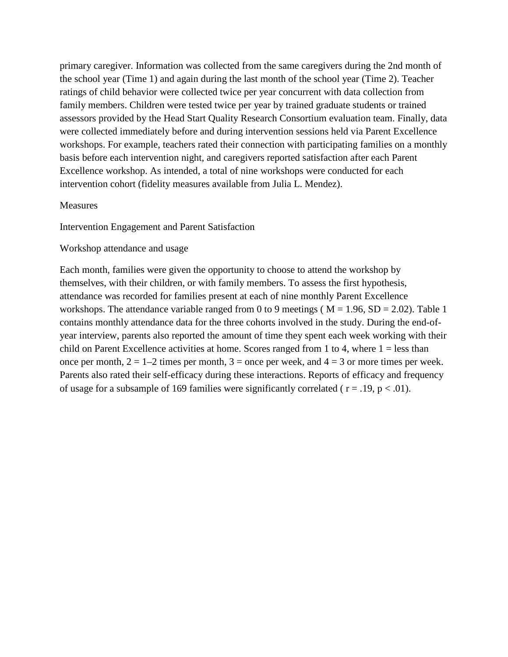primary caregiver. Information was collected from the same caregivers during the 2nd month of the school year (Time 1) and again during the last month of the school year (Time 2). Teacher ratings of child behavior were collected twice per year concurrent with data collection from family members. Children were tested twice per year by trained graduate students or trained assessors provided by the Head Start Quality Research Consortium evaluation team. Finally, data were collected immediately before and during intervention sessions held via Parent Excellence workshops. For example, teachers rated their connection with participating families on a monthly basis before each intervention night, and caregivers reported satisfaction after each Parent Excellence workshop. As intended, a total of nine workshops were conducted for each intervention cohort (fidelity measures available from Julia L. Mendez).

#### Measures

Intervention Engagement and Parent Satisfaction

#### Workshop attendance and usage

Each month, families were given the opportunity to choose to attend the workshop by themselves, with their children, or with family members. To assess the first hypothesis, attendance was recorded for families present at each of nine monthly Parent Excellence workshops. The attendance variable ranged from 0 to 9 meetings ( $M = 1.96$ ,  $SD = 2.02$ ). Table 1 contains monthly attendance data for the three cohorts involved in the study. During the end-ofyear interview, parents also reported the amount of time they spent each week working with their child on Parent Excellence activities at home. Scores ranged from 1 to 4, where  $1 =$  less than once per month,  $2 = 1-2$  times per month,  $3 =$  once per week, and  $4 = 3$  or more times per week. Parents also rated their self-efficacy during these interactions. Reports of efficacy and frequency of usage for a subsample of 169 families were significantly correlated ( $r = .19$ ,  $p < .01$ ).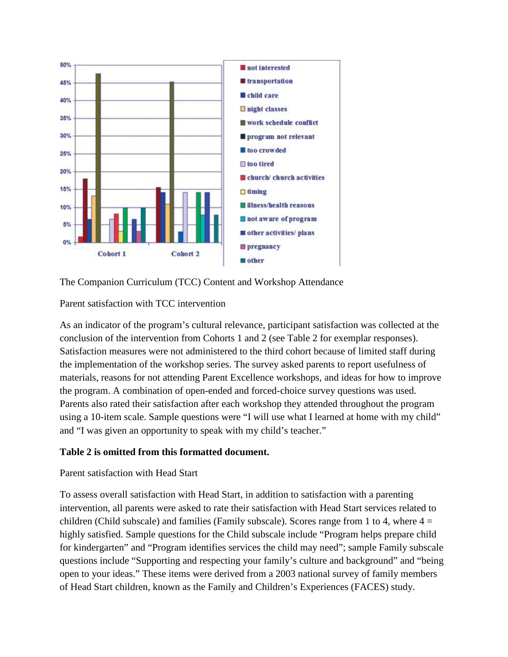

The Companion Curriculum (TCC) Content and Workshop Attendance

Parent satisfaction with TCC intervention

As an indicator of the program's cultural relevance, participant satisfaction was collected at the conclusion of the intervention from Cohorts 1 and 2 (see Table 2 for exemplar responses). Satisfaction measures were not administered to the third cohort because of limited staff during the implementation of the workshop series. The survey asked parents to report usefulness of materials, reasons for not attending Parent Excellence workshops, and ideas for how to improve the program. A combination of open-ended and forced-choice survey questions was used. Parents also rated their satisfaction after each workshop they attended throughout the program using a 10-item scale. Sample questions were "I will use what I learned at home with my child" and "I was given an opportunity to speak with my child's teacher."

# **Table 2 is omitted from this formatted document.**

# Parent satisfaction with Head Start

To assess overall satisfaction with Head Start, in addition to satisfaction with a parenting intervention, all parents were asked to rate their satisfaction with Head Start services related to children (Child subscale) and families (Family subscale). Scores range from 1 to 4, where  $4 =$ highly satisfied. Sample questions for the Child subscale include "Program helps prepare child for kindergarten" and "Program identifies services the child may need"; sample Family subscale questions include "Supporting and respecting your family's culture and background" and "being open to your ideas." These items were derived from a 2003 national survey of family members of Head Start children, known as the Family and Children's Experiences (FACES) study.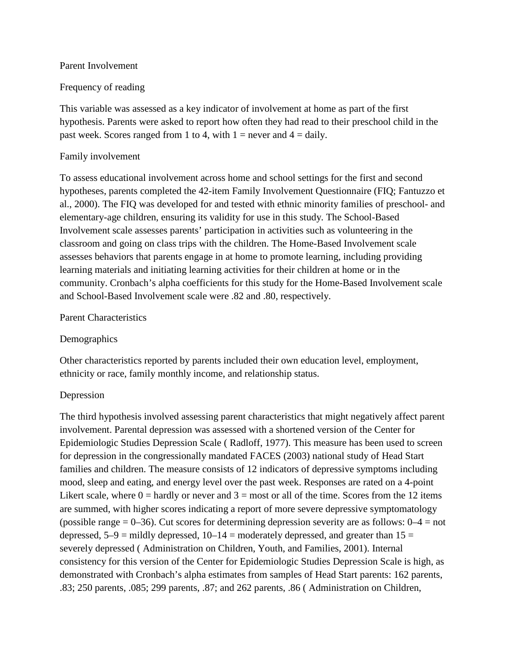### Parent Involvement

### Frequency of reading

This variable was assessed as a key indicator of involvement at home as part of the first hypothesis. Parents were asked to report how often they had read to their preschool child in the past week. Scores ranged from 1 to 4, with  $1 =$  never and  $4 =$  daily.

### Family involvement

To assess educational involvement across home and school settings for the first and second hypotheses, parents completed the 42-item Family Involvement Questionnaire (FIQ; Fantuzzo et al., 2000). The FIQ was developed for and tested with ethnic minority families of preschool- and elementary-age children, ensuring its validity for use in this study. The School-Based Involvement scale assesses parents' participation in activities such as volunteering in the classroom and going on class trips with the children. The Home-Based Involvement scale assesses behaviors that parents engage in at home to promote learning, including providing learning materials and initiating learning activities for their children at home or in the community. Cronbach's alpha coefficients for this study for the Home-Based Involvement scale and School-Based Involvement scale were .82 and .80, respectively.

### Parent Characteristics

## **Demographics**

Other characteristics reported by parents included their own education level, employment, ethnicity or race, family monthly income, and relationship status.

## Depression

The third hypothesis involved assessing parent characteristics that might negatively affect parent involvement. Parental depression was assessed with a shortened version of the Center for Epidemiologic Studies Depression Scale ( Radloff, 1977). This measure has been used to screen for depression in the congressionally mandated FACES (2003) national study of Head Start families and children. The measure consists of 12 indicators of depressive symptoms including mood, sleep and eating, and energy level over the past week. Responses are rated on a 4-point Likert scale, where  $0 =$  hardly or never and  $3 =$  most or all of the time. Scores from the 12 items are summed, with higher scores indicating a report of more severe depressive symptomatology (possible range  $= 0-36$ ). Cut scores for determining depression severity are as follows:  $0-4 =$  not depressed,  $5-9$  = mildly depressed,  $10-14$  = moderately depressed, and greater than  $15 =$ severely depressed ( Administration on Children, Youth, and Families, 2001). Internal consistency for this version of the Center for Epidemiologic Studies Depression Scale is high, as demonstrated with Cronbach's alpha estimates from samples of Head Start parents: 162 parents, .83; 250 parents, .085; 299 parents, .87; and 262 parents, .86 ( Administration on Children,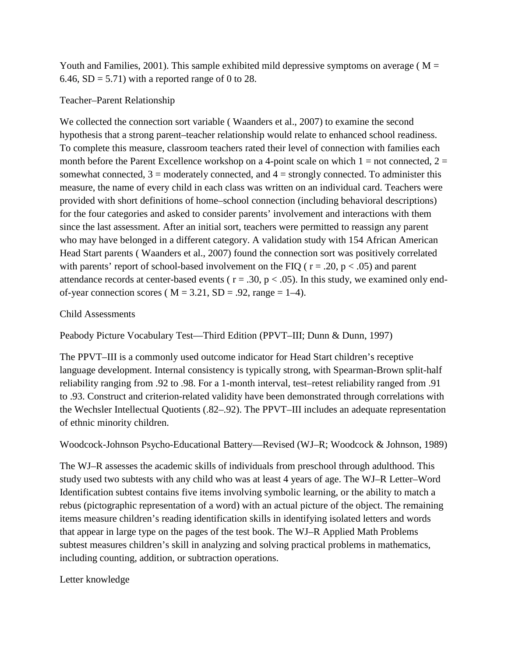Youth and Families, 2001). This sample exhibited mild depressive symptoms on average ( $M =$ 6.46,  $SD = 5.71$ ) with a reported range of 0 to 28.

## Teacher–Parent Relationship

We collected the connection sort variable (Waanders et al., 2007) to examine the second hypothesis that a strong parent–teacher relationship would relate to enhanced school readiness. To complete this measure, classroom teachers rated their level of connection with families each month before the Parent Excellence workshop on a 4-point scale on which  $1 = not$  connected,  $2 =$ somewhat connected,  $3 =$  moderately connected, and  $4 =$  strongly connected. To administer this measure, the name of every child in each class was written on an individual card. Teachers were provided with short definitions of home–school connection (including behavioral descriptions) for the four categories and asked to consider parents' involvement and interactions with them since the last assessment. After an initial sort, teachers were permitted to reassign any parent who may have belonged in a different category. A validation study with 154 African American Head Start parents ( Waanders et al., 2007) found the connection sort was positively correlated with parents' report of school-based involvement on the FIQ ( $r = .20$ ,  $p < .05$ ) and parent attendance records at center-based events ( $r = .30$ ,  $p < .05$ ). In this study, we examined only endof-year connection scores ( $M = 3.21$ ,  $SD = .92$ , range = 1–4).

## Child Assessments

Peabody Picture Vocabulary Test—Third Edition (PPVT–III; Dunn & Dunn, 1997)

The PPVT–III is a commonly used outcome indicator for Head Start children's receptive language development. Internal consistency is typically strong, with Spearman-Brown split-half reliability ranging from .92 to .98. For a 1-month interval, test–retest reliability ranged from .91 to .93. Construct and criterion-related validity have been demonstrated through correlations with the Wechsler Intellectual Quotients (.82–.92). The PPVT–III includes an adequate representation of ethnic minority children.

Woodcock-Johnson Psycho-Educational Battery—Revised (WJ–R; Woodcock & Johnson, 1989)

The WJ–R assesses the academic skills of individuals from preschool through adulthood. This study used two subtests with any child who was at least 4 years of age. The WJ–R Letter–Word Identification subtest contains five items involving symbolic learning, or the ability to match a rebus (pictographic representation of a word) with an actual picture of the object. The remaining items measure children's reading identification skills in identifying isolated letters and words that appear in large type on the pages of the test book. The WJ–R Applied Math Problems subtest measures children's skill in analyzing and solving practical problems in mathematics, including counting, addition, or subtraction operations.

Letter knowledge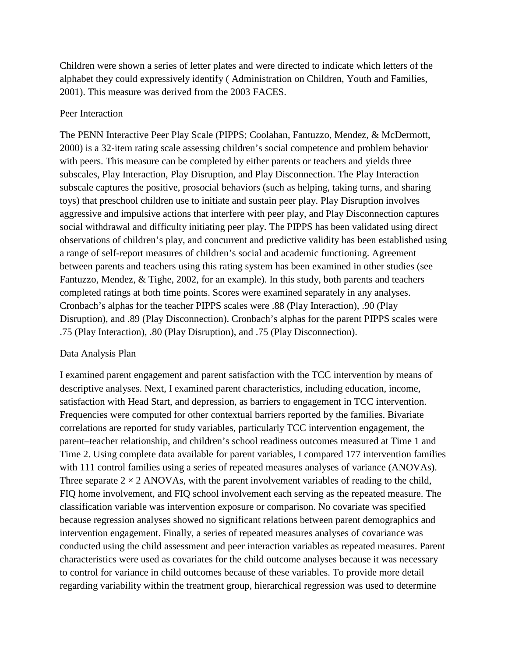Children were shown a series of letter plates and were directed to indicate which letters of the alphabet they could expressively identify ( Administration on Children, Youth and Families, 2001). This measure was derived from the 2003 FACES.

#### Peer Interaction

The PENN Interactive Peer Play Scale (PIPPS; Coolahan, Fantuzzo, Mendez, & McDermott, 2000) is a 32-item rating scale assessing children's social competence and problem behavior with peers. This measure can be completed by either parents or teachers and yields three subscales, Play Interaction, Play Disruption, and Play Disconnection. The Play Interaction subscale captures the positive, prosocial behaviors (such as helping, taking turns, and sharing toys) that preschool children use to initiate and sustain peer play. Play Disruption involves aggressive and impulsive actions that interfere with peer play, and Play Disconnection captures social withdrawal and difficulty initiating peer play. The PIPPS has been validated using direct observations of children's play, and concurrent and predictive validity has been established using a range of self-report measures of children's social and academic functioning. Agreement between parents and teachers using this rating system has been examined in other studies (see Fantuzzo, Mendez, & Tighe, 2002, for an example). In this study, both parents and teachers completed ratings at both time points. Scores were examined separately in any analyses. Cronbach's alphas for the teacher PIPPS scales were .88 (Play Interaction), .90 (Play Disruption), and .89 (Play Disconnection). Cronbach's alphas for the parent PIPPS scales were .75 (Play Interaction), .80 (Play Disruption), and .75 (Play Disconnection).

#### Data Analysis Plan

I examined parent engagement and parent satisfaction with the TCC intervention by means of descriptive analyses. Next, I examined parent characteristics, including education, income, satisfaction with Head Start, and depression, as barriers to engagement in TCC intervention. Frequencies were computed for other contextual barriers reported by the families. Bivariate correlations are reported for study variables, particularly TCC intervention engagement, the parent–teacher relationship, and children's school readiness outcomes measured at Time 1 and Time 2. Using complete data available for parent variables, I compared 177 intervention families with 111 control families using a series of repeated measures analyses of variance (ANOVAs). Three separate  $2 \times 2$  ANOVAs, with the parent involvement variables of reading to the child, FIQ home involvement, and FIQ school involvement each serving as the repeated measure. The classification variable was intervention exposure or comparison. No covariate was specified because regression analyses showed no significant relations between parent demographics and intervention engagement. Finally, a series of repeated measures analyses of covariance was conducted using the child assessment and peer interaction variables as repeated measures. Parent characteristics were used as covariates for the child outcome analyses because it was necessary to control for variance in child outcomes because of these variables. To provide more detail regarding variability within the treatment group, hierarchical regression was used to determine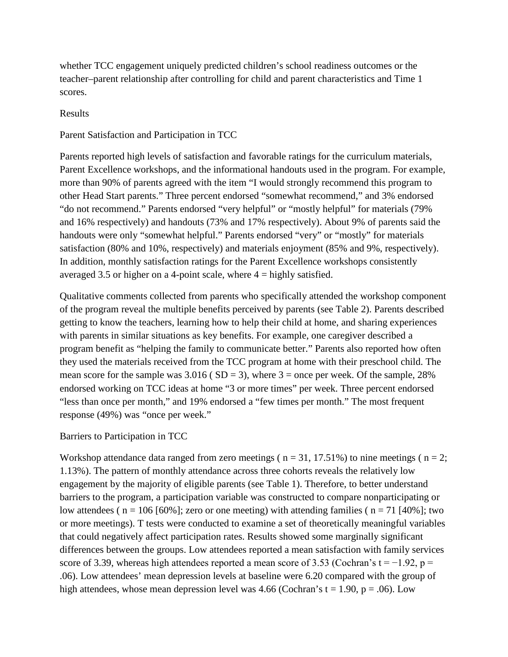whether TCC engagement uniquely predicted children's school readiness outcomes or the teacher–parent relationship after controlling for child and parent characteristics and Time 1 scores.

#### Results

Parent Satisfaction and Participation in TCC

Parents reported high levels of satisfaction and favorable ratings for the curriculum materials, Parent Excellence workshops, and the informational handouts used in the program. For example, more than 90% of parents agreed with the item "I would strongly recommend this program to other Head Start parents." Three percent endorsed "somewhat recommend," and 3% endorsed "do not recommend." Parents endorsed "very helpful" or "mostly helpful" for materials (79% and 16% respectively) and handouts (73% and 17% respectively). About 9% of parents said the handouts were only "somewhat helpful." Parents endorsed "very" or "mostly" for materials satisfaction (80% and 10%, respectively) and materials enjoyment (85% and 9%, respectively). In addition, monthly satisfaction ratings for the Parent Excellence workshops consistently averaged 3.5 or higher on a 4-point scale, where  $4 =$  highly satisfied.

Qualitative comments collected from parents who specifically attended the workshop component of the program reveal the multiple benefits perceived by parents (see Table 2). Parents described getting to know the teachers, learning how to help their child at home, and sharing experiences with parents in similar situations as key benefits. For example, one caregiver described a program benefit as "helping the family to communicate better." Parents also reported how often they used the materials received from the TCC program at home with their preschool child. The mean score for the sample was  $3.016$  (SD = 3), where  $3 =$  once per week. Of the sample, 28% endorsed working on TCC ideas at home "3 or more times" per week. Three percent endorsed "less than once per month," and 19% endorsed a "few times per month." The most frequent response (49%) was "once per week."

### Barriers to Participation in TCC

Workshop attendance data ranged from zero meetings ( $n = 31, 17.51\%$ ) to nine meetings ( $n = 2$ ; 1.13%). The pattern of monthly attendance across three cohorts reveals the relatively low engagement by the majority of eligible parents (see Table 1). Therefore, to better understand barriers to the program, a participation variable was constructed to compare nonparticipating or low attendees (  $n = 106$  [60%]; zero or one meeting) with attending families (  $n = 71$  [40%]; two or more meetings). T tests were conducted to examine a set of theoretically meaningful variables that could negatively affect participation rates. Results showed some marginally significant differences between the groups. Low attendees reported a mean satisfaction with family services score of 3.39, whereas high attendees reported a mean score of 3.53 (Cochran's  $t = -1.92$ , p = .06). Low attendees' mean depression levels at baseline were 6.20 compared with the group of high attendees, whose mean depression level was 4.66 (Cochran's  $t = 1.90$ ,  $p = .06$ ). Low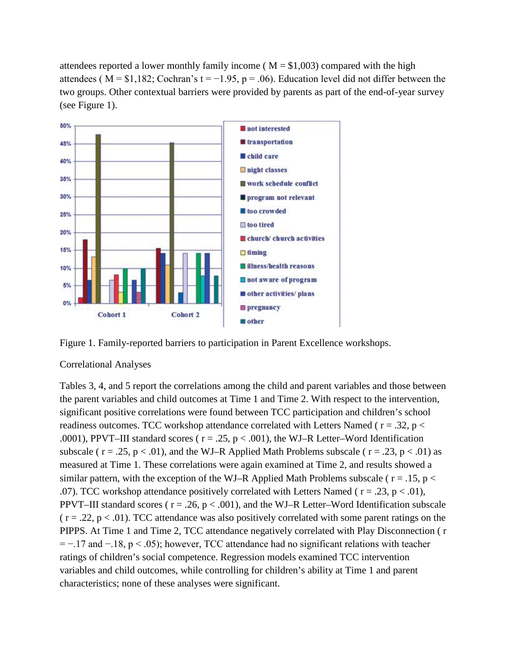attendees reported a lower monthly family income ( $M = $1,003$ ) compared with the high attendees ( $M = $1,182$ ; Cochran's t = -1.95, p = .06). Education level did not differ between the two groups. Other contextual barriers were provided by parents as part of the end-of-year survey (see Figure 1).



Figure 1. Family-reported barriers to participation in Parent Excellence workshops.

## Correlational Analyses

Tables 3, 4, and 5 report the correlations among the child and parent variables and those between the parent variables and child outcomes at Time 1 and Time 2. With respect to the intervention, significant positive correlations were found between TCC participation and children's school readiness outcomes. TCC workshop attendance correlated with Letters Named ( $r = .32$ ,  $p <$ .0001), PPVT–III standard scores ( $r = .25$ ,  $p < .001$ ), the WJ–R Letter–Word Identification subscale ( $r = .25$ ,  $p < .01$ ), and the WJ–R Applied Math Problems subscale ( $r = .23$ ,  $p < .01$ ) as measured at Time 1. These correlations were again examined at Time 2, and results showed a similar pattern, with the exception of the WJ–R Applied Math Problems subscale ( $r = .15$ ,  $p <$ .07). TCC workshop attendance positively correlated with Letters Named ( $r = .23$ ,  $p < .01$ ), PPVT–III standard scores ( $r = .26$ ,  $p < .001$ ), and the WJ–R Letter–Word Identification subscale  $(r = .22, p < .01)$ . TCC attendance was also positively correlated with some parent ratings on the PIPPS. At Time 1 and Time 2, TCC attendance negatively correlated with Play Disconnection ( r = −.17 and −.18, p < .05); however, TCC attendance had no significant relations with teacher ratings of children's social competence. Regression models examined TCC intervention variables and child outcomes, while controlling for children's ability at Time 1 and parent characteristics; none of these analyses were significant.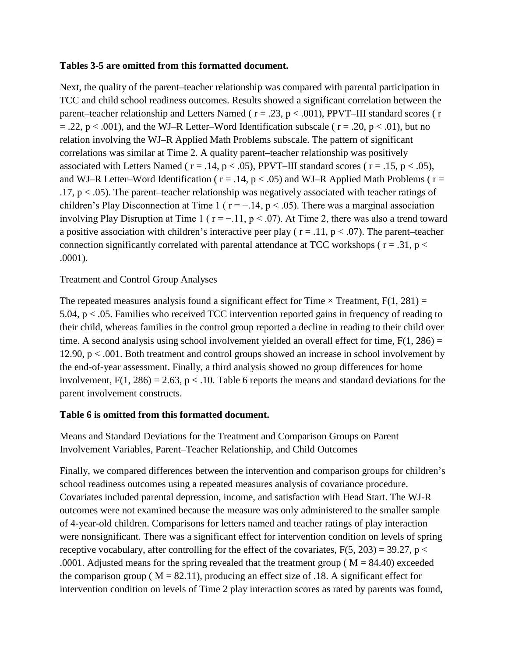### **Tables 3-5 are omitted from this formatted document.**

Next, the quality of the parent–teacher relationship was compared with parental participation in TCC and child school readiness outcomes. Results showed a significant correlation between the parent–teacher relationship and Letters Named ( $r = .23$ ,  $p < .001$ ), PPVT–III standard scores ( $r = .23$  $=$  .22, p < .001), and the WJ–R Letter–Word Identification subscale ( $r = .20$ , p < .01), but no relation involving the WJ–R Applied Math Problems subscale. The pattern of significant correlations was similar at Time 2. A quality parent–teacher relationship was positively associated with Letters Named ( $r = .14$ ,  $p < .05$ ), PPVT–III standard scores ( $r = .15$ ,  $p < .05$ ), and WJ–R Letter–Word Identification ( $r = .14$ ,  $p < .05$ ) and WJ–R Applied Math Problems ( $r =$ .17,  $p < .05$ ). The parent–teacher relationship was negatively associated with teacher ratings of children's Play Disconnection at Time 1 ( $r = -14$ ,  $p < 0.05$ ). There was a marginal association involving Play Disruption at Time 1 ( $r = -11$ ,  $p < .07$ ). At Time 2, there was also a trend toward a positive association with children's interactive peer play ( $r = .11$ ,  $p < .07$ ). The parent–teacher connection significantly correlated with parental attendance at TCC workshops ( $r = .31$ ,  $p <$ .0001).

### Treatment and Control Group Analyses

The repeated measures analysis found a significant effect for Time  $\times$  Treatment,  $F(1, 281) =$ 5.04, p < .05. Families who received TCC intervention reported gains in frequency of reading to their child, whereas families in the control group reported a decline in reading to their child over time. A second analysis using school involvement yielded an overall effect for time,  $F(1, 286) =$ 12.90, p < .001. Both treatment and control groups showed an increase in school involvement by the end-of-year assessment. Finally, a third analysis showed no group differences for home involvement,  $F(1, 286) = 2.63$ ,  $p < 0.10$ . Table 6 reports the means and standard deviations for the parent involvement constructs.

## **Table 6 is omitted from this formatted document.**

Means and Standard Deviations for the Treatment and Comparison Groups on Parent Involvement Variables, Parent–Teacher Relationship, and Child Outcomes

Finally, we compared differences between the intervention and comparison groups for children's school readiness outcomes using a repeated measures analysis of covariance procedure. Covariates included parental depression, income, and satisfaction with Head Start. The WJ-R outcomes were not examined because the measure was only administered to the smaller sample of 4-year-old children. Comparisons for letters named and teacher ratings of play interaction were nonsignificant. There was a significant effect for intervention condition on levels of spring receptive vocabulary, after controlling for the effect of the covariates,  $F(5, 203) = 39.27$ , p < .0001. Adjusted means for the spring revealed that the treatment group ( $M = 84.40$ ) exceeded the comparison group ( $M = 82.11$ ), producing an effect size of .18. A significant effect for intervention condition on levels of Time 2 play interaction scores as rated by parents was found,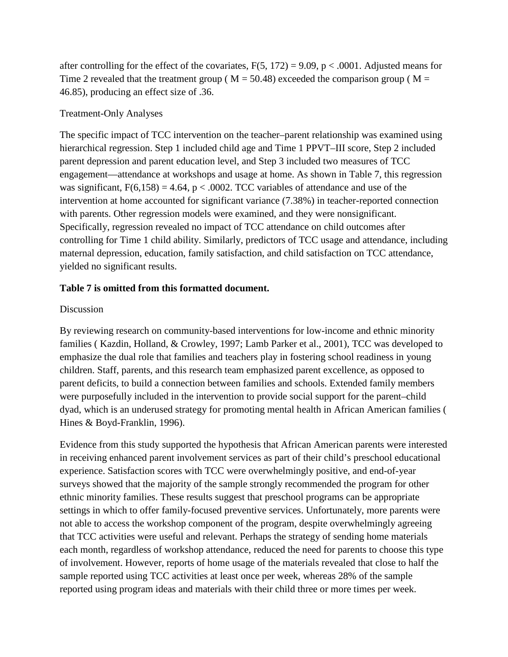after controlling for the effect of the covariates,  $F(5, 172) = 9.09$ ,  $p < .0001$ . Adjusted means for Time 2 revealed that the treatment group ( $M = 50.48$ ) exceeded the comparison group ( $M =$ 46.85), producing an effect size of .36.

### Treatment-Only Analyses

The specific impact of TCC intervention on the teacher–parent relationship was examined using hierarchical regression. Step 1 included child age and Time 1 PPVT–III score, Step 2 included parent depression and parent education level, and Step 3 included two measures of TCC engagement—attendance at workshops and usage at home. As shown in Table 7, this regression was significant,  $F(6,158) = 4.64$ ,  $p < .0002$ . TCC variables of attendance and use of the intervention at home accounted for significant variance (7.38%) in teacher-reported connection with parents. Other regression models were examined, and they were nonsignificant. Specifically, regression revealed no impact of TCC attendance on child outcomes after controlling for Time 1 child ability. Similarly, predictors of TCC usage and attendance, including maternal depression, education, family satisfaction, and child satisfaction on TCC attendance, yielded no significant results.

## **Table 7 is omitted from this formatted document.**

### **Discussion**

By reviewing research on community-based interventions for low-income and ethnic minority families ( Kazdin, Holland, & Crowley, 1997; Lamb Parker et al., 2001), TCC was developed to emphasize the dual role that families and teachers play in fostering school readiness in young children. Staff, parents, and this research team emphasized parent excellence, as opposed to parent deficits, to build a connection between families and schools. Extended family members were purposefully included in the intervention to provide social support for the parent–child dyad, which is an underused strategy for promoting mental health in African American families ( Hines & Boyd-Franklin, 1996).

Evidence from this study supported the hypothesis that African American parents were interested in receiving enhanced parent involvement services as part of their child's preschool educational experience. Satisfaction scores with TCC were overwhelmingly positive, and end-of-year surveys showed that the majority of the sample strongly recommended the program for other ethnic minority families. These results suggest that preschool programs can be appropriate settings in which to offer family-focused preventive services. Unfortunately, more parents were not able to access the workshop component of the program, despite overwhelmingly agreeing that TCC activities were useful and relevant. Perhaps the strategy of sending home materials each month, regardless of workshop attendance, reduced the need for parents to choose this type of involvement. However, reports of home usage of the materials revealed that close to half the sample reported using TCC activities at least once per week, whereas 28% of the sample reported using program ideas and materials with their child three or more times per week.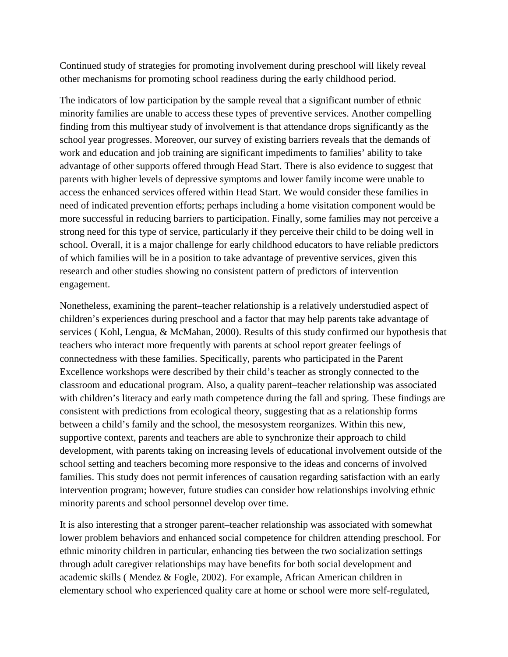Continued study of strategies for promoting involvement during preschool will likely reveal other mechanisms for promoting school readiness during the early childhood period.

The indicators of low participation by the sample reveal that a significant number of ethnic minority families are unable to access these types of preventive services. Another compelling finding from this multiyear study of involvement is that attendance drops significantly as the school year progresses. Moreover, our survey of existing barriers reveals that the demands of work and education and job training are significant impediments to families' ability to take advantage of other supports offered through Head Start. There is also evidence to suggest that parents with higher levels of depressive symptoms and lower family income were unable to access the enhanced services offered within Head Start. We would consider these families in need of indicated prevention efforts; perhaps including a home visitation component would be more successful in reducing barriers to participation. Finally, some families may not perceive a strong need for this type of service, particularly if they perceive their child to be doing well in school. Overall, it is a major challenge for early childhood educators to have reliable predictors of which families will be in a position to take advantage of preventive services, given this research and other studies showing no consistent pattern of predictors of intervention engagement.

Nonetheless, examining the parent–teacher relationship is a relatively understudied aspect of children's experiences during preschool and a factor that may help parents take advantage of services ( Kohl, Lengua, & McMahan, 2000). Results of this study confirmed our hypothesis that teachers who interact more frequently with parents at school report greater feelings of connectedness with these families. Specifically, parents who participated in the Parent Excellence workshops were described by their child's teacher as strongly connected to the classroom and educational program. Also, a quality parent–teacher relationship was associated with children's literacy and early math competence during the fall and spring. These findings are consistent with predictions from ecological theory, suggesting that as a relationship forms between a child's family and the school, the mesosystem reorganizes. Within this new, supportive context, parents and teachers are able to synchronize their approach to child development, with parents taking on increasing levels of educational involvement outside of the school setting and teachers becoming more responsive to the ideas and concerns of involved families. This study does not permit inferences of causation regarding satisfaction with an early intervention program; however, future studies can consider how relationships involving ethnic minority parents and school personnel develop over time.

It is also interesting that a stronger parent–teacher relationship was associated with somewhat lower problem behaviors and enhanced social competence for children attending preschool. For ethnic minority children in particular, enhancing ties between the two socialization settings through adult caregiver relationships may have benefits for both social development and academic skills ( Mendez & Fogle, 2002). For example, African American children in elementary school who experienced quality care at home or school were more self-regulated,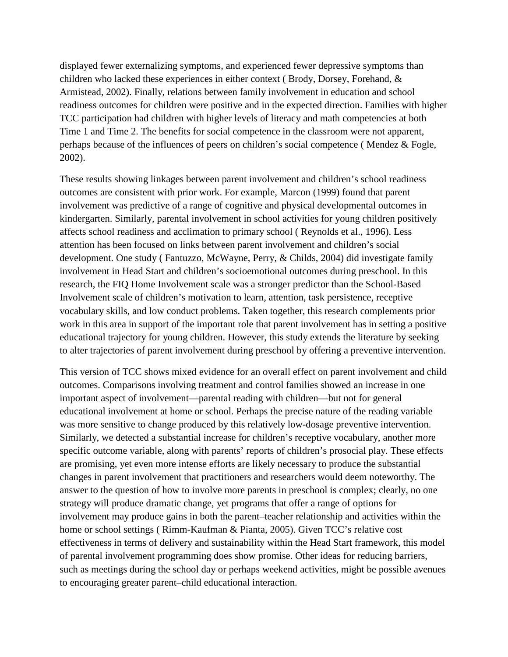displayed fewer externalizing symptoms, and experienced fewer depressive symptoms than children who lacked these experiences in either context ( Brody, Dorsey, Forehand, & Armistead, 2002). Finally, relations between family involvement in education and school readiness outcomes for children were positive and in the expected direction. Families with higher TCC participation had children with higher levels of literacy and math competencies at both Time 1 and Time 2. The benefits for social competence in the classroom were not apparent, perhaps because of the influences of peers on children's social competence ( Mendez & Fogle, 2002).

These results showing linkages between parent involvement and children's school readiness outcomes are consistent with prior work. For example, Marcon (1999) found that parent involvement was predictive of a range of cognitive and physical developmental outcomes in kindergarten. Similarly, parental involvement in school activities for young children positively affects school readiness and acclimation to primary school ( Reynolds et al., 1996). Less attention has been focused on links between parent involvement and children's social development. One study ( Fantuzzo, McWayne, Perry, & Childs, 2004) did investigate family involvement in Head Start and children's socioemotional outcomes during preschool. In this research, the FIQ Home Involvement scale was a stronger predictor than the School-Based Involvement scale of children's motivation to learn, attention, task persistence, receptive vocabulary skills, and low conduct problems. Taken together, this research complements prior work in this area in support of the important role that parent involvement has in setting a positive educational trajectory for young children. However, this study extends the literature by seeking to alter trajectories of parent involvement during preschool by offering a preventive intervention.

This version of TCC shows mixed evidence for an overall effect on parent involvement and child outcomes. Comparisons involving treatment and control families showed an increase in one important aspect of involvement—parental reading with children—but not for general educational involvement at home or school. Perhaps the precise nature of the reading variable was more sensitive to change produced by this relatively low-dosage preventive intervention. Similarly, we detected a substantial increase for children's receptive vocabulary, another more specific outcome variable, along with parents' reports of children's prosocial play. These effects are promising, yet even more intense efforts are likely necessary to produce the substantial changes in parent involvement that practitioners and researchers would deem noteworthy. The answer to the question of how to involve more parents in preschool is complex; clearly, no one strategy will produce dramatic change, yet programs that offer a range of options for involvement may produce gains in both the parent–teacher relationship and activities within the home or school settings ( Rimm-Kaufman & Pianta, 2005). Given TCC's relative cost effectiveness in terms of delivery and sustainability within the Head Start framework, this model of parental involvement programming does show promise. Other ideas for reducing barriers, such as meetings during the school day or perhaps weekend activities, might be possible avenues to encouraging greater parent–child educational interaction.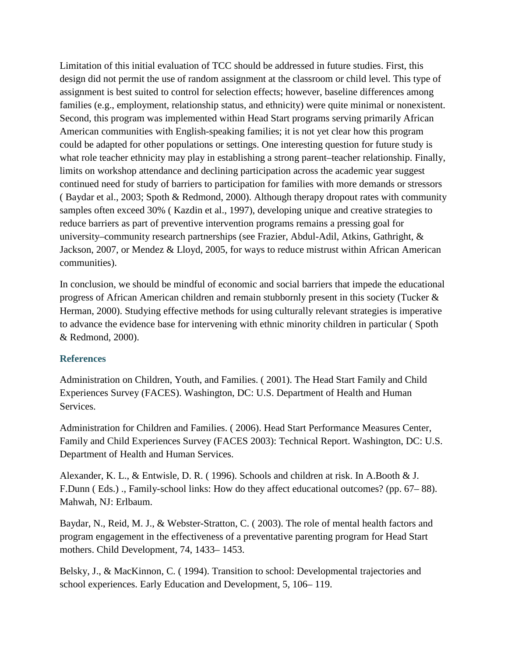Limitation of this initial evaluation of TCC should be addressed in future studies. First, this design did not permit the use of random assignment at the classroom or child level. This type of assignment is best suited to control for selection effects; however, baseline differences among families (e.g., employment, relationship status, and ethnicity) were quite minimal or nonexistent. Second, this program was implemented within Head Start programs serving primarily African American communities with English-speaking families; it is not yet clear how this program could be adapted for other populations or settings. One interesting question for future study is what role teacher ethnicity may play in establishing a strong parent–teacher relationship. Finally, limits on workshop attendance and declining participation across the academic year suggest continued need for study of barriers to participation for families with more demands or stressors ( Baydar et al., 2003; Spoth & Redmond, 2000). Although therapy dropout rates with community samples often exceed 30% ( Kazdin et al., 1997), developing unique and creative strategies to reduce barriers as part of preventive intervention programs remains a pressing goal for university–community research partnerships (see Frazier, Abdul-Adil, Atkins, Gathright, & Jackson, 2007, or Mendez & Lloyd, 2005, for ways to reduce mistrust within African American communities).

In conclusion, we should be mindful of economic and social barriers that impede the educational progress of African American children and remain stubbornly present in this society (Tucker & Herman, 2000). Studying effective methods for using culturally relevant strategies is imperative to advance the evidence base for intervening with ethnic minority children in particular ( Spoth & Redmond, 2000).

### **References**

Administration on Children, Youth, and Families. ( 2001). The Head Start Family and Child Experiences Survey (FACES). Washington, DC: U.S. Department of Health and Human Services.

Administration for Children and Families. ( 2006). Head Start Performance Measures Center, Family and Child Experiences Survey (FACES 2003): Technical Report. Washington, DC: U.S. Department of Health and Human Services.

Alexander, K. L., & Entwisle, D. R. ( 1996). Schools and children at risk. In A.Booth & J. F.Dunn ( Eds.) ., Family-school links: How do they affect educational outcomes? (pp. 67– 88). Mahwah, NJ: Erlbaum.

Baydar, N., Reid, M. J., & Webster-Stratton, C. ( 2003). The role of mental health factors and program engagement in the effectiveness of a preventative parenting program for Head Start mothers. Child Development, 74, 1433– 1453.

Belsky, J., & MacKinnon, C. ( 1994). Transition to school: Developmental trajectories and school experiences. Early Education and Development, 5, 106– 119.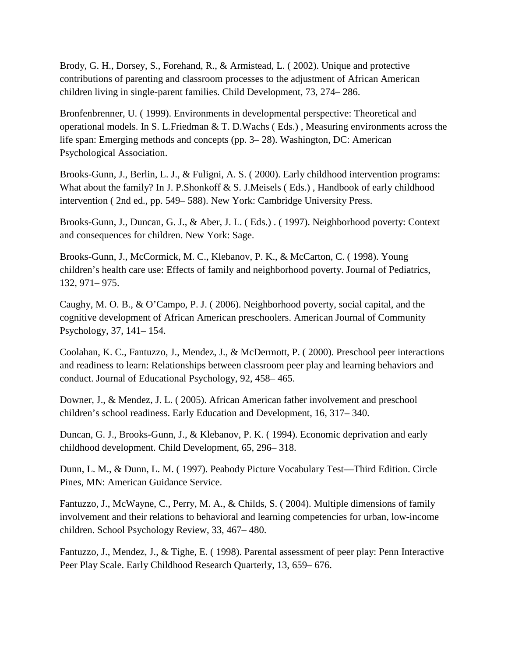Brody, G. H., Dorsey, S., Forehand, R., & Armistead, L. ( 2002). Unique and protective contributions of parenting and classroom processes to the adjustment of African American children living in single-parent families. Child Development, 73, 274– 286.

Bronfenbrenner, U. ( 1999). Environments in developmental perspective: Theoretical and operational models. In S. L.Friedman & T. D.Wachs ( Eds.) , Measuring environments across the life span: Emerging methods and concepts (pp. 3– 28). Washington, DC: American Psychological Association.

Brooks-Gunn, J., Berlin, L. J., & Fuligni, A. S. ( 2000). Early childhood intervention programs: What about the family? In J. P.Shonkoff & S. J.Meisels (Eds.), Handbook of early childhood intervention ( 2nd ed., pp. 549– 588). New York: Cambridge University Press.

Brooks-Gunn, J., Duncan, G. J., & Aber, J. L. ( Eds.) . ( 1997). Neighborhood poverty: Context and consequences for children. New York: Sage.

Brooks-Gunn, J., McCormick, M. C., Klebanov, P. K., & McCarton, C. ( 1998). Young children's health care use: Effects of family and neighborhood poverty. Journal of Pediatrics, 132, 971– 975.

Caughy, M. O. B., & O'Campo, P. J. ( 2006). Neighborhood poverty, social capital, and the cognitive development of African American preschoolers. American Journal of Community Psychology, 37, 141– 154.

Coolahan, K. C., Fantuzzo, J., Mendez, J., & McDermott, P. ( 2000). Preschool peer interactions and readiness to learn: Relationships between classroom peer play and learning behaviors and conduct. Journal of Educational Psychology, 92, 458– 465.

Downer, J., & Mendez, J. L. ( 2005). African American father involvement and preschool children's school readiness. Early Education and Development, 16, 317– 340.

Duncan, G. J., Brooks-Gunn, J., & Klebanov, P. K. ( 1994). Economic deprivation and early childhood development. Child Development, 65, 296– 318.

Dunn, L. M., & Dunn, L. M. ( 1997). Peabody Picture Vocabulary Test—Third Edition. Circle Pines, MN: American Guidance Service.

Fantuzzo, J., McWayne, C., Perry, M. A., & Childs, S. ( 2004). Multiple dimensions of family involvement and their relations to behavioral and learning competencies for urban, low-income children. School Psychology Review, 33, 467– 480.

Fantuzzo, J., Mendez, J., & Tighe, E. ( 1998). Parental assessment of peer play: Penn Interactive Peer Play Scale. Early Childhood Research Quarterly, 13, 659– 676.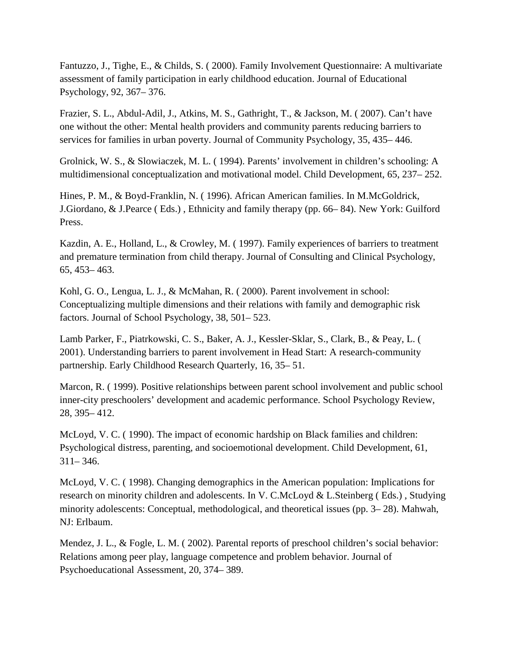Fantuzzo, J., Tighe, E., & Childs, S. ( 2000). Family Involvement Questionnaire: A multivariate assessment of family participation in early childhood education. Journal of Educational Psychology, 92, 367– 376.

Frazier, S. L., Abdul-Adil, J., Atkins, M. S., Gathright, T., & Jackson, M. ( 2007). Can't have one without the other: Mental health providers and community parents reducing barriers to services for families in urban poverty. Journal of Community Psychology, 35, 435– 446.

Grolnick, W. S., & Slowiaczek, M. L. ( 1994). Parents' involvement in children's schooling: A multidimensional conceptualization and motivational model. Child Development, 65, 237– 252.

Hines, P. M., & Boyd-Franklin, N. ( 1996). African American families. In M.McGoldrick, J.Giordano, & J.Pearce ( Eds.) , Ethnicity and family therapy (pp. 66– 84). New York: Guilford Press.

Kazdin, A. E., Holland, L., & Crowley, M. ( 1997). Family experiences of barriers to treatment and premature termination from child therapy. Journal of Consulting and Clinical Psychology, 65, 453– 463.

Kohl, G. O., Lengua, L. J., & McMahan, R. ( 2000). Parent involvement in school: Conceptualizing multiple dimensions and their relations with family and demographic risk factors. Journal of School Psychology, 38, 501– 523.

Lamb Parker, F., Piatrkowski, C. S., Baker, A. J., Kessler-Sklar, S., Clark, B., & Peay, L. ( 2001). Understanding barriers to parent involvement in Head Start: A research-community partnership. Early Childhood Research Quarterly, 16, 35– 51.

Marcon, R. ( 1999). Positive relationships between parent school involvement and public school inner-city preschoolers' development and academic performance. School Psychology Review, 28, 395– 412.

McLoyd, V. C. ( 1990). The impact of economic hardship on Black families and children: Psychological distress, parenting, and socioemotional development. Child Development, 61, 311– 346.

McLoyd, V. C. ( 1998). Changing demographics in the American population: Implications for research on minority children and adolescents. In V. C.McLoyd & L.Steinberg ( Eds.) , Studying minority adolescents: Conceptual, methodological, and theoretical issues (pp. 3– 28). Mahwah, NJ: Erlbaum.

Mendez, J. L., & Fogle, L. M. ( 2002). Parental reports of preschool children's social behavior: Relations among peer play, language competence and problem behavior. Journal of Psychoeducational Assessment, 20, 374– 389.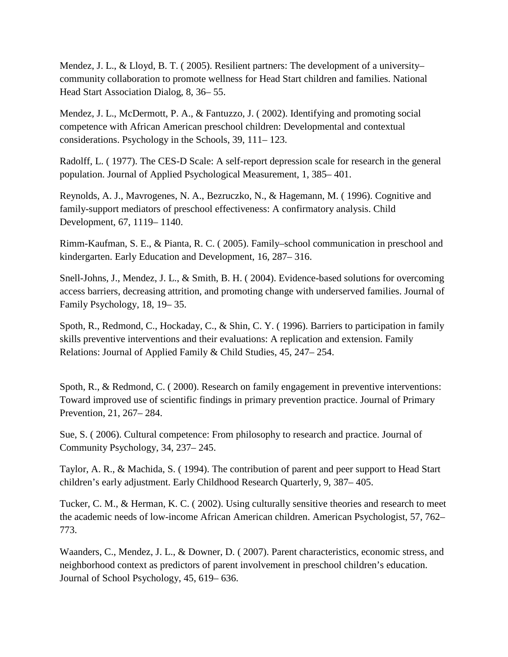Mendez, J. L., & Lloyd, B. T. ( 2005). Resilient partners: The development of a university– community collaboration to promote wellness for Head Start children and families. National Head Start Association Dialog, 8, 36– 55.

Mendez, J. L., McDermott, P. A., & Fantuzzo, J. ( 2002). Identifying and promoting social competence with African American preschool children: Developmental and contextual considerations. Psychology in the Schools, 39, 111– 123.

Radolff, L. ( 1977). The CES-D Scale: A self-report depression scale for research in the general population. Journal of Applied Psychological Measurement, 1, 385– 401.

Reynolds, A. J., Mavrogenes, N. A., Bezruczko, N., & Hagemann, M. ( 1996). Cognitive and family-support mediators of preschool effectiveness: A confirmatory analysis. Child Development, 67, 1119– 1140.

Rimm-Kaufman, S. E., & Pianta, R. C. ( 2005). Family–school communication in preschool and kindergarten. Early Education and Development, 16, 287– 316.

Snell-Johns, J., Mendez, J. L., & Smith, B. H. ( 2004). Evidence-based solutions for overcoming access barriers, decreasing attrition, and promoting change with underserved families. Journal of Family Psychology, 18, 19– 35.

Spoth, R., Redmond, C., Hockaday, C., & Shin, C. Y. ( 1996). Barriers to participation in family skills preventive interventions and their evaluations: A replication and extension. Family Relations: Journal of Applied Family & Child Studies, 45, 247– 254.

Spoth, R., & Redmond, C. ( 2000). Research on family engagement in preventive interventions: Toward improved use of scientific findings in primary prevention practice. Journal of Primary Prevention, 21, 267– 284.

Sue, S. ( 2006). Cultural competence: From philosophy to research and practice. Journal of Community Psychology, 34, 237– 245.

Taylor, A. R., & Machida, S. ( 1994). The contribution of parent and peer support to Head Start children's early adjustment. Early Childhood Research Quarterly, 9, 387– 405.

Tucker, C. M., & Herman, K. C. ( 2002). Using culturally sensitive theories and research to meet the academic needs of low-income African American children. American Psychologist, 57, 762– 773.

Waanders, C., Mendez, J. L., & Downer, D. ( 2007). Parent characteristics, economic stress, and neighborhood context as predictors of parent involvement in preschool children's education. Journal of School Psychology, 45, 619– 636.